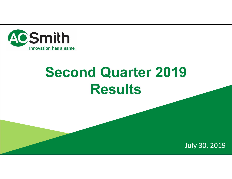

# **Second Quarter 2019 Results**

July 30, 2019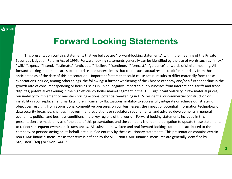## **Forward Looking Statements**

This presentation contains statements that we believe are "forward‐looking statements" within the meaning of the Private Securities Litigation Reform Act of 1995. Forward‐looking statements generally can be identified by the use of words such as "may," "will," "expect," "intend," "estimate," "anticipate," "believe," "continue," " forecast," "guidance" or words of similar meaning. All forward-looking statements are subject to risks and uncertainties that could cause actual results to differ materially from those anticipated as of the date of this presentation. Important factors that could cause actual results to differ materially from these expectations include, among other things, the following: a further weakening of the Chinese economy and/or a further decline in the growth rate of consumer spending or housing sales in China; negative impact to our businesses from international tariffs and trade disputes; potential weakening in the high efficiency boiler market segment in the U. S.; significant volatility in raw material prices; our inability to implement or maintain pricing actions; potential weakening in U. S. residential or commercial construction or instability in our replacement markets; foreign currency fluctuations; inability to successfully integrate or achieve our strategic objectives resulting from acquisitions; competitive pressures on our businesses; the impact of potential information technology or data security breaches; changes in government regulations or regulatory requirements; and adverse developments in general economic, political and business conditions in the key regions of the world. Forward‐looking statements included in this presentation are made only as of the date of this presentation, and the company is under no obligation to update these statements to reflect subsequent events or circumstances. All subsequent written and oral forward‐looking statements attributed to the company, or persons acting on its behalf, are qualified entirely by these cautionary statements. This presentation contains certain non‐GAAP financial measures as that term is defined by the SEC. Non‐GAAP financial measures are generally identified by "Adjusted" (Adj.) or "Non‐GAAP" .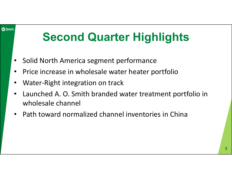#### **C**Smith

# **Second Quarter Highlights**

- •Solid North America segment performance
- •Price increase in wholesale water heater portfolio
- •Water‐Right integration on track
- • Launched A. O. Smith branded water treatment portfolio in wholesale channel
- $\bullet$ Path toward normalized channel inventories in China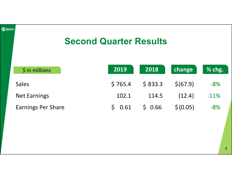| <b>C</b> Smith. | <b>Second Quarter Results</b> |  |                      |         |           |        |  |  |
|-----------------|-------------------------------|--|----------------------|---------|-----------|--------|--|--|
|                 | $\frac{1}{2}$ in millions     |  | 2019                 | 2018    | change    | % chg. |  |  |
|                 | <b>Sales</b>                  |  | \$765.4              | \$833.3 | \$(67.9)  | $-8%$  |  |  |
|                 | <b>Net Earnings</b>           |  | 102.1                | 114.5   | (12.4)    | $-11%$ |  |  |
|                 | <b>Earnings Per Share</b>     |  | $\mathsf{S}$<br>0.61 | \$0.66  | \$ (0.05) | $-8%$  |  |  |
|                 |                               |  |                      |         |           |        |  |  |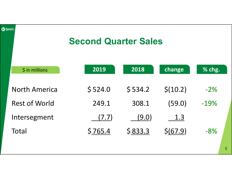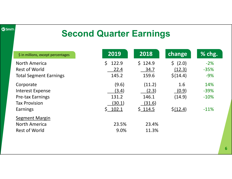#### **C**Smith.

## **Second Quarter Earnings**

| \$ in millions, except percentages | 2019        | 2018    | change                 | % chg. |
|------------------------------------|-------------|---------|------------------------|--------|
| <b>North America</b>               | 122.9<br>\$ | \$124.9 | 5(2.0)                 | $-2%$  |
| Rest of World                      | 22.4        | 34.7    | (12.3)                 | $-35%$ |
| <b>Total Segment Earnings</b>      | 145.2       | 159.6   | \$(14.4)               | $-9%$  |
| Corporate                          | (9.6)       | (11.2)  | 1.6                    | 14%    |
| <b>Interest Expense</b>            | (3.4)       | (2.3)   | (0.9)                  | $-39%$ |
| <b>Pre-tax Earnings</b>            | 131.2       | 146.1   | (14.9)                 | $-10%$ |
| <b>Tax Provision</b>               | (30.1)      | (31.6)  |                        |        |
| Earnings                           | \$ 102.1    | \$114.5 | $\frac{\sin(12.4)}{2}$ | $-11%$ |
| <b>Segment Margin</b>              |             |         |                        |        |
| <b>North America</b>               | 23.5%       | 23.4%   |                        |        |
| <b>Rest of World</b>               | 9.0%        | 11.3%   |                        |        |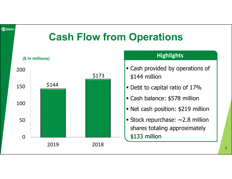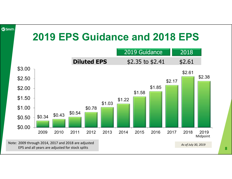

**8**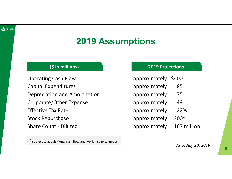## **2019 Assumptions**

Operating Cash Flow approximately \$400 Capital Expenditures approximately 85 Depreciation and Amortization **and a approximately** 75 Corporate/Other Expense approximately 49 Effective Tax Rate and Tax Assembly 22% Stock Repurchase approximately 300\* Share Count - Diluted approximately 167 million

### **(\$ in millions) 2019 Projections**

- 
- 
- 
- 
- 
- 
- 

\*subject to acquisitions, cash flow and working capital needs

*As of July 30, 2019*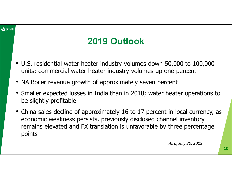#### **ACSmith**

## **2019 Outlook**

- U.S. residential water heater industry volumes down 50,000 to 100,000 units; commercial water heater industry volumes up one percent
- NA Boiler revenue growth of approximately seven percent
- Smaller expected losses in India than in 2018; water heater operations to be slightly profitable
- China sales decline of approximately 16 to 17 percent in local currency, as economic weakness persists, previously disclosed channel inventory remains elevated and FX translation is unfavorable by three percentage points

*As of July 30, 2019*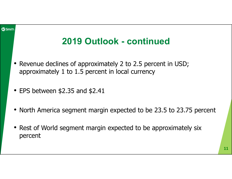